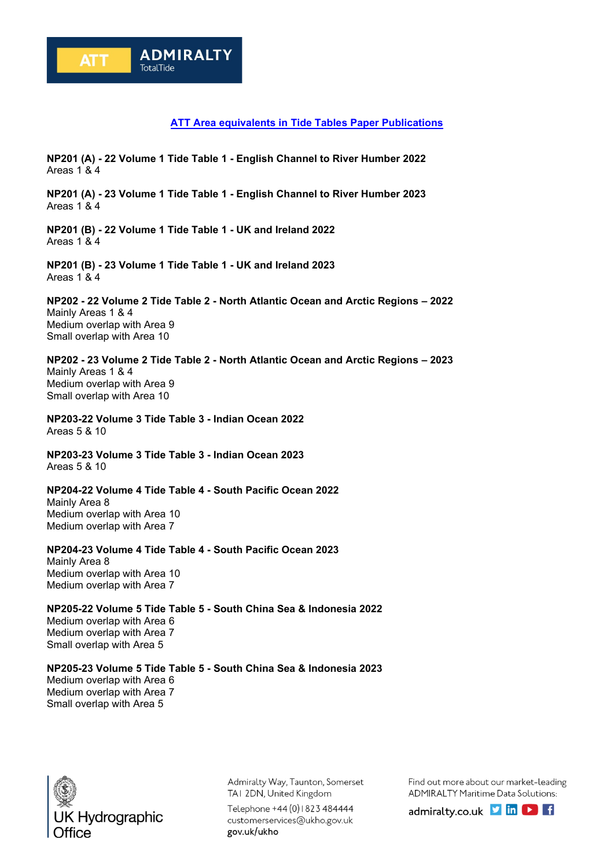## **ATT Area equivalents in Tide Tables Paper Publications**

**NP201 (A) - 22 Volume 1 Tide Table 1 - English Channel to River Humber 2022** Areas 1 & 4

**NP201 (A) - 23 Volume 1 Tide Table 1 - English Channel to River Humber 2023** Areas 1 & 4

**NP201 (B) - 22 Volume 1 Tide Table 1 - UK and Ireland 2022** Areas 1 & 4

**NP201 (B) - 23 Volume 1 Tide Table 1 - UK and Ireland 2023** Areas 1 & 4

**NP202 - 22 Volume 2 Tide Table 2 - North Atlantic Ocean and Arctic Regions – 2022** Mainly Areas 1 & 4 Medium overlap with Area 9 Small overlap with Area 10

**NP202 - 23 Volume 2 Tide Table 2 - North Atlantic Ocean and Arctic Regions – 2023** Mainly Areas 1 & 4 Medium overlap with Area 9 Small overlap with Area 10

**NP203-22 Volume 3 Tide Table 3 - Indian Ocean 2022** Areas 5 & 10

**NP203-23 Volume 3 Tide Table 3 - Indian Ocean 2023** Areas 5 & 10

**NP204-22 Volume 4 Tide Table 4 - South Pacific Ocean 2022** Mainly Area 8 Medium overlap with Area 10 Medium overlap with Area 7

**NP204-23 Volume 4 Tide Table 4 - South Pacific Ocean 2023**

Mainly Area 8 Medium overlap with Area 10 Medium overlap with Area 7

**NP205-22 Volume 5 Tide Table 5 - South China Sea & Indonesia 2022** Medium overlap with Area 6 Medium overlap with Area 7 Small overlap with Area 5

**NP205-23 Volume 5 Tide Table 5 - South China Sea & Indonesia 2023** Medium overlap with Area 6 Medium overlap with Area 7



Small overlap with Area 5

Admiralty Way, Taunton, Somerset TAI 2DN, United Kingdom

Telephone +44 (0) 1823 484444 customerservices@ukho.gov.uk gov.uk/ukho

Find out more about our market-leading ADMIRALTY Maritime Data Solutions:

admiralty.co.uk **D** in **D** f